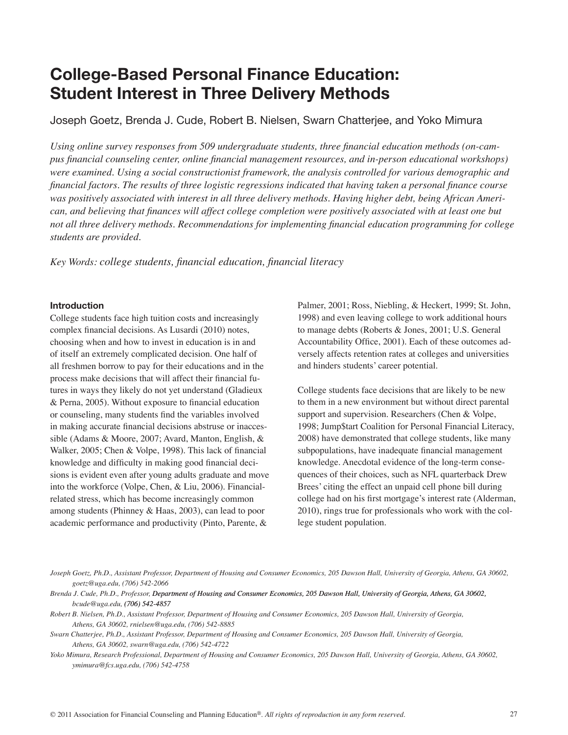# **College-Based Personal Finance Education: Student Interest in Three Delivery Methods**

Joseph Goetz, Brenda J. Cude, Robert B. Nielsen, Swarn Chatterjee, and Yoko Mimura

*Using online survey responses from 509 undergraduate students, three financial education methods (on-campus financial counseling center, online financial management resources, and in-person educational workshops) were examined. Using a social constructionist framework, the analysis controlled for various demographic and financial factors. The results of three logistic regressions indicated that having taken a personal finance course was positively associated with interest in all three delivery methods. Having higher debt, being African American, and believing that finances will affect college completion were positively associated with at least one but not all three delivery methods. Recommendations for implementing financial education programming for college students are provided.* 

*Key Words: college students, financial education, financial literacy*

#### **Introduction**

College students face high tuition costs and increasingly complex financial decisions. As Lusardi (2010) notes, choosing when and how to invest in education is in and of itself an extremely complicated decision. One half of all freshmen borrow to pay for their educations and in the process make decisions that will affect their financial futures in ways they likely do not yet understand (Gladieux & Perna, 2005). Without exposure to financial education or counseling, many students find the variables involved in making accurate financial decisions abstruse or inaccessible (Adams & Moore, 2007; Avard, Manton, English, & Walker, 2005; Chen & Volpe, 1998). This lack of financial knowledge and difficulty in making good financial decisions is evident even after young adults graduate and move into the workforce (Volpe, Chen, & Liu, 2006). Financialrelated stress, which has become increasingly common among students (Phinney & Haas, 2003), can lead to poor academic performance and productivity (Pinto, Parente, &

Palmer, 2001; Ross, Niebling, & Heckert, 1999; St. John, 1998) and even leaving college to work additional hours to manage debts (Roberts & Jones, 2001; U.S. General Accountability Office, 2001). Each of these outcomes adversely affects retention rates at colleges and universities and hinders students' career potential.

College students face decisions that are likely to be new to them in a new environment but without direct parental support and supervision. Researchers (Chen & Volpe, 1998; Jump\$tart Coalition for Personal Financial Literacy, 2008) have demonstrated that college students, like many subpopulations, have inadequate financial management knowledge. Anecdotal evidence of the long-term consequences of their choices, such as NFL quarterback Drew Brees' citing the effect an unpaid cell phone bill during college had on his first mortgage's interest rate (Alderman, 2010), rings true for professionals who work with the college student population.

- *Robert B. Nielsen, Ph.D., Assistant Professor, Department of Housing and Consumer Economics, 205 Dawson Hall, University of Georgia, Athens, GA 30602, rnielsen@uga.edu, (706) 542-8885*
- *Swarn Chatterjee, Ph.D., Assistant Professor, Department of Housing and Consumer Economics, 205 Dawson Hall, University of Georgia, Athens, GA 30602, swarn@uga.edu, (706) 542-4722*
- *Yoko Mimura, Research Professional, Department of Housing and Consumer Economics, 205 Dawson Hall, University of Georgia, Athens, GA 30602, ymimura@fcs.uga.edu, (706) 542-4758*

*Joseph Goetz, Ph.D., Assistant Professor, Department of Housing and Consumer Economics, 205 Dawson Hall, University of Georgia, Athens, GA 30602, goetz@uga.edu, (706) 542-2066*

*Brenda J. Cude, Ph.D., Professor, Department of Housing and Consumer Economics, 205 Dawson Hall, University of Georgia, Athens, GA 30602, bcude@uga.edu, (706) 542-4�*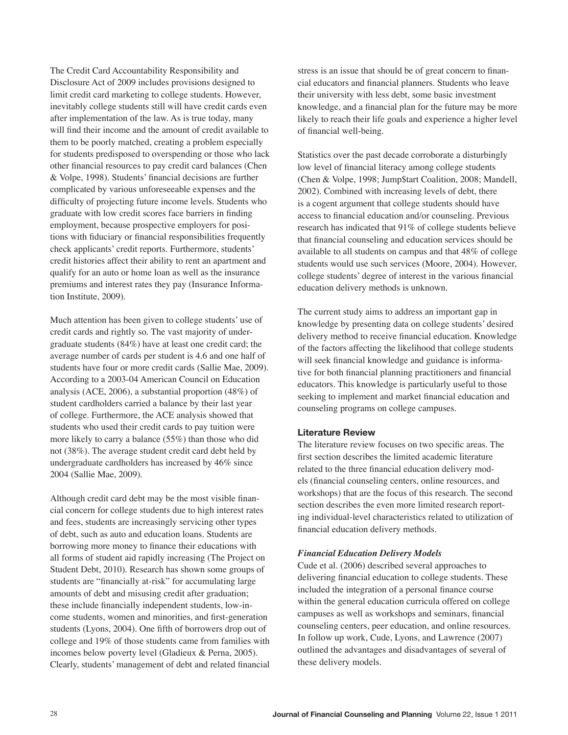The Credit Card Accountability Responsibility and Disclosure Act of 2009 includes provisions designed to limit credit card marketing to college students. However, inevitably college students still will have credit cards even after implementation of the law. As is true today, many will find their income and the amount of credit available to them to be poorly matched, creating a problem especially for students predisposed to overspending or those who lack other financial resources to pay credit card balances (Chen & Volpe, 1998). Students' financial decisions are further complicated by various unforeseeable expenses and the difficulty of projecting future income levels. Students who graduate with low credit scores face barriers in finding employment, because prospective employers for positions with fiduciary or financial responsibilities frequently check applicants' credit reports. Furthermore, students' credit histories affect their ability to rent an apartment and qualify for an auto or home loan as well as the insurance premiums and interest rates they pay (Insurance Information Institute, 2009).

Much attention has been given to college students' use of credit cards and rightly so. The vast majority of undergraduate students (84%) have at least one credit card; the average number of cards per student is 4.6 and one half of students have four or more credit cards (Sallie Mae, 2009). According to a 2003-04 American Council on Education analysis (ACE, 2006), a substantial proportion (48%) of student cardholders carried a balance by their last year of college. Furthermore, the ACE analysis showed that students who used their credit cards to pay tuition were more likely to carry a balance (55%) than those who did not (38%). The average student credit card debt held by undergraduate cardholders has increased by 46% since 2004 (Sallie Mae, 2009).

Although credit card debt may be the most visible financial concern for college students due to high interest rates and fees, students are increasingly servicing other types of debt, such as auto and education loans. Students are borrowing more money to finance their educations with all forms of student aid rapidly increasing (The Project on Student Debt, 2010). Research has shown some groups of students are "financially at-risk" for accumulating large amounts of debt and misusing credit after graduation; these include financially independent students, low-income students, women and minorities, and first-generation students (Lyons, 2004). One fifth of borrowers drop out of college and 19% of those students came from families with incomes below poverty level (Gladieux & Perna, 2005). Clearly, students' management of debt and related financial

stress is an issue that should be of great concern to financial educators and financial planners. Students who leave their university with less debt, some basic investment knowledge, and a financial plan for the future may be more likely to reach their life goals and experience a higher level of financial well-being.

Statistics over the past decade corroborate a disturbingly low level of financial literacy among college students (Chen & Volpe, 1998; Jump\$tart Coalition, 2008; Mandell, 2002). Combined with increasing levels of debt, there is a cogent argument that college students should have access to financial education and/or counseling. Previous research has indicated that 91% of college students believe that financial counseling and education services should be available to all students on campus and that 48% of college students would use such services (Moore, 2004). However, college students' degree of interest in the various financial education delivery methods is unknown.

The current study aims to address an important gap in knowledge by presenting data on college students' desired delivery method to receive financial education. Knowledge of the factors affecting the likelihood that college students will seek financial knowledge and guidance is informative for both financial planning practitioners and financial educators. This knowledge is particularly useful to those seeking to implement and market financial education and counseling programs on college campuses.

# **Literature Review**

The literature review focuses on two specific areas. The first section describes the limited academic literature related to the three financial education delivery models (financial counseling centers, online resources, and workshops) that are the focus of this research. The second section describes the even more limited research reporting individual-level characteristics related to utilization of financial education delivery methods.

#### *Financial Education Delivery Models*

Cude et al. (2006) described several approaches to delivering financial education to college students. These included the integration of a personal finance course within the general education curricula offered on college campuses as well as workshops and seminars, financial counseling centers, peer education, and online resources. In follow up work, Cude, Lyons, and Lawrence (2007) outlined the advantages and disadvantages of several of these delivery models.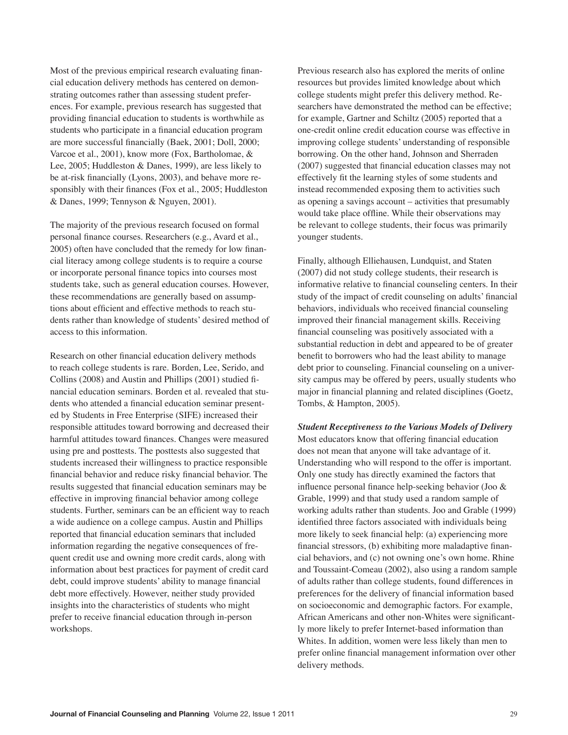Most of the previous empirical research evaluating financial education delivery methods has centered on demonstrating outcomes rather than assessing student preferences. For example, previous research has suggested that providing financial education to students is worthwhile as students who participate in a financial education program are more successful financially (Baek, 2001; Doll, 2000; Varcoe et al., 2001), know more (Fox, Bartholomae, & Lee, 2005; Huddleston & Danes, 1999), are less likely to be at-risk financially (Lyons, 2003), and behave more responsibly with their finances (Fox et al., 2005; Huddleston & Danes, 1999; Tennyson & Nguyen, 2001).

The majority of the previous research focused on formal personal finance courses. Researchers (e.g., Avard et al., 2005) often have concluded that the remedy for low financial literacy among college students is to require a course or incorporate personal finance topics into courses most students take, such as general education courses. However, these recommendations are generally based on assumptions about efficient and effective methods to reach students rather than knowledge of students' desired method of access to this information.

Research on other financial education delivery methods to reach college students is rare. Borden, Lee, Serido, and Collins (2008) and Austin and Phillips (2001) studied financial education seminars. Borden et al. revealed that students who attended a financial education seminar presented by Students in Free Enterprise (SIFE) increased their responsible attitudes toward borrowing and decreased their harmful attitudes toward finances. Changes were measured using pre and posttests. The posttests also suggested that students increased their willingness to practice responsible financial behavior and reduce risky financial behavior. The results suggested that financial education seminars may be effective in improving financial behavior among college students. Further, seminars can be an efficient way to reach a wide audience on a college campus. Austin and Phillips reported that financial education seminars that included information regarding the negative consequences of frequent credit use and owning more credit cards, along with information about best practices for payment of credit card debt, could improve students' ability to manage financial debt more effectively. However, neither study provided insights into the characteristics of students who might prefer to receive financial education through in-person workshops.

Previous research also has explored the merits of online resources but provides limited knowledge about which college students might prefer this delivery method. Researchers have demonstrated the method can be effective; for example, Gartner and Schiltz (2005) reported that a one-credit online credit education course was effective in improving college students' understanding of responsible borrowing. On the other hand, Johnson and Sherraden (2007) suggested that financial education classes may not effectively fit the learning styles of some students and instead recommended exposing them to activities such as opening a savings account – activities that presumably would take place offline. While their observations may be relevant to college students, their focus was primarily younger students.

Finally, although Elliehausen, Lundquist, and Staten (2007) did not study college students, their research is informative relative to financial counseling centers. In their study of the impact of credit counseling on adults' financial behaviors, individuals who received financial counseling improved their financial management skills. Receiving financial counseling was positively associated with a substantial reduction in debt and appeared to be of greater benefit to borrowers who had the least ability to manage debt prior to counseling. Financial counseling on a university campus may be offered by peers, usually students who major in financial planning and related disciplines (Goetz, Tombs, & Hampton, 2005).

*Student Receptiveness to the Various Models of Delivery* Most educators know that offering financial education does not mean that anyone will take advantage of it. Understanding who will respond to the offer is important. Only one study has directly examined the factors that influence personal finance help-seeking behavior (Joo & Grable, 1999) and that study used a random sample of working adults rather than students. Joo and Grable (1999) identified three factors associated with individuals being more likely to seek financial help: (a) experiencing more financial stressors, (b) exhibiting more maladaptive financial behaviors, and (c) not owning one's own home. Rhine and Toussaint-Comeau (2002), also using a random sample of adults rather than college students, found differences in preferences for the delivery of financial information based on socioeconomic and demographic factors. For example, African Americans and other non-Whites were significantly more likely to prefer Internet-based information than Whites. In addition, women were less likely than men to prefer online financial management information over other delivery methods.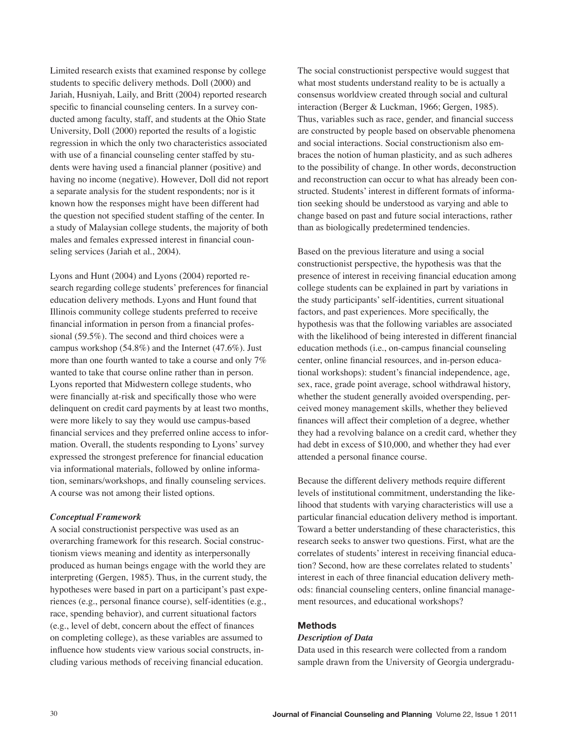Limited research exists that examined response by college students to specific delivery methods. Doll (2000) and Jariah, Husniyah, Laily, and Britt (2004) reported research specific to financial counseling centers. In a survey conducted among faculty, staff, and students at the Ohio State University, Doll (2000) reported the results of a logistic regression in which the only two characteristics associated with use of a financial counseling center staffed by students were having used a financial planner (positive) and having no income (negative). However, Doll did not report a separate analysis for the student respondents; nor is it known how the responses might have been different had the question not specified student staffing of the center. In a study of Malaysian college students, the majority of both males and females expressed interest in financial counseling services (Jariah et al., 2004).

Lyons and Hunt (2004) and Lyons (2004) reported research regarding college students' preferences for financial education delivery methods. Lyons and Hunt found that Illinois community college students preferred to receive financial information in person from a financial professional (59.5%). The second and third choices were a campus workshop (54.8%) and the Internet (47.6%). Just more than one fourth wanted to take a course and only 7% wanted to take that course online rather than in person. Lyons reported that Midwestern college students, who were financially at-risk and specifically those who were delinquent on credit card payments by at least two months, were more likely to say they would use campus-based financial services and they preferred online access to information. Overall, the students responding to Lyons' survey expressed the strongest preference for financial education via informational materials, followed by online information, seminars/workshops, and finally counseling services. A course was not among their listed options.

#### *Conceptual Framework*

A social constructionist perspective was used as an overarching framework for this research. Social constructionism views meaning and identity as interpersonally produced as human beings engage with the world they are interpreting (Gergen, 1985). Thus, in the current study, the hypotheses were based in part on a participant's past experiences (e.g., personal finance course), self-identities (e.g., race, spending behavior), and current situational factors (e.g., level of debt, concern about the effect of finances on completing college), as these variables are assumed to influence how students view various social constructs, including various methods of receiving financial education.

The social constructionist perspective would suggest that what most students understand reality to be is actually a consensus worldview created through social and cultural interaction (Berger & Luckman, 1966; Gergen, 1985). Thus, variables such as race, gender, and financial success are constructed by people based on observable phenomena and social interactions. Social constructionism also embraces the notion of human plasticity, and as such adheres to the possibility of change. In other words, deconstruction and reconstruction can occur to what has already been constructed. Students' interest in different formats of information seeking should be understood as varying and able to change based on past and future social interactions, rather than as biologically predetermined tendencies.

Based on the previous literature and using a social constructionist perspective, the hypothesis was that the presence of interest in receiving financial education among college students can be explained in part by variations in the study participants' self-identities, current situational factors, and past experiences. More specifically, the hypothesis was that the following variables are associated with the likelihood of being interested in different financial education methods (i.e., on-campus financial counseling center, online financial resources, and in-person educational workshops): student's financial independence, age, sex, race, grade point average, school withdrawal history, whether the student generally avoided overspending, perceived money management skills, whether they believed finances will affect their completion of a degree, whether they had a revolving balance on a credit card, whether they had debt in excess of \$10,000, and whether they had ever attended a personal finance course.

Because the different delivery methods require different levels of institutional commitment, understanding the likelihood that students with varying characteristics will use a particular financial education delivery method is important. Toward a better understanding of these characteristics, this research seeks to answer two questions. First, what are the correlates of students' interest in receiving financial education? Second, how are these correlates related to students' interest in each of three financial education delivery methods: financial counseling centers, online financial management resources, and educational workshops?

# **Methods**

#### *Description of Data*

Data used in this research were collected from a random sample drawn from the University of Georgia undergradu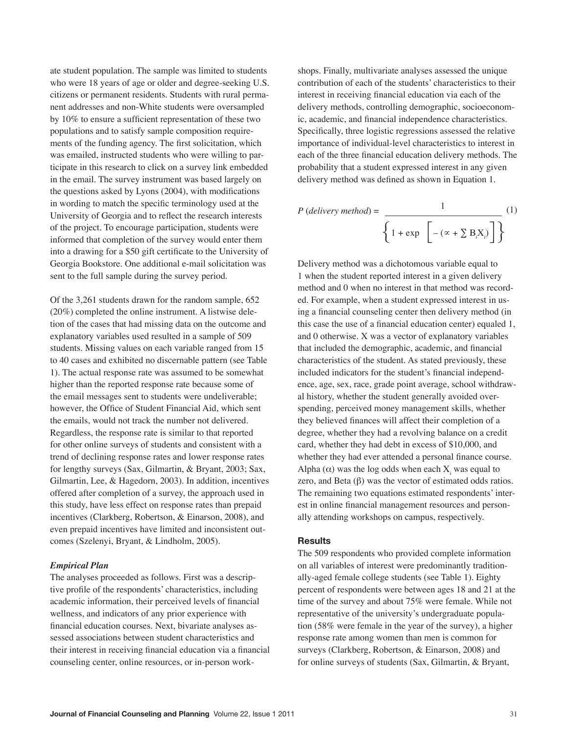ate student population. The sample was limited to students who were 18 years of age or older and degree-seeking U.S. citizens or permanent residents. Students with rural permanent addresses and non-White students were oversampled by 10% to ensure a sufficient representation of these two populations and to satisfy sample composition requirements of the funding agency. The first solicitation, which was emailed, instructed students who were willing to participate in this research to click on a survey link embedded in the email. The survey instrument was based largely on the questions asked by Lyons (2004), with modifications in wording to match the specific terminology used at the University of Georgia and to reflect the research interests of the project. To encourage participation, students were informed that completion of the survey would enter them into a drawing for a \$50 gift certificate to the University of Georgia Bookstore. One additional e-mail solicitation was sent to the full sample during the survey period.

Of the 3,261 students drawn for the random sample, 652 (20%) completed the online instrument. A listwise deletion of the cases that had missing data on the outcome and explanatory variables used resulted in a sample of 509 students. Missing values on each variable ranged from 15 to 40 cases and exhibited no discernable pattern (see Table 1). The actual response rate was assumed to be somewhat higher than the reported response rate because some of the email messages sent to students were undeliverable; however, the Office of Student Financial Aid, which sent the emails, would not track the number not delivered. Regardless, the response rate is similar to that reported for other online surveys of students and consistent with a trend of declining response rates and lower response rates for lengthy surveys (Sax, Gilmartin, & Bryant, 2003; Sax, Gilmartin, Lee, & Hagedorn, 2003). In addition, incentives offered after completion of a survey, the approach used in this study, have less effect on response rates than prepaid incentives (Clarkberg, Robertson, & Einarson, 2008), and even prepaid incentives have limited and inconsistent outcomes (Szelenyi, Bryant, & Lindholm, 2005).

#### *Empirical Plan*

The analyses proceeded as follows. First was a descriptive profile of the respondents' characteristics, including academic information, their perceived levels of financial wellness, and indicators of any prior experience with financial education courses. Next, bivariate analyses assessed associations between student characteristics and their interest in receiving financial education via a financial counseling center, online resources, or in-person work-

shops. Finally, multivariate analyses assessed the unique contribution of each of the students' characteristics to their interest in receiving financial education via each of the delivery methods, controlling demographic, socioeconomic, academic, and financial independence characteristics. Specifically, three logistic regressions assessed the relative importance of individual-level characteristics to interest in each of the three financial education delivery methods. The probability that a student expressed interest in any given delivery method was defined as shown in Equation 1.

$$
P (delivery method) = \frac{1}{\left\{1 + \exp \left[-(\alpha + \sum B_i X_i)\right]\right\}} (1)
$$

Delivery method was a dichotomous variable equal to 1 when the student reported interest in a given delivery method and 0 when no interest in that method was recorded. For example, when a student expressed interest in using a financial counseling center then delivery method (in this case the use of a financial education center) equaled 1, and 0 otherwise. X was a vector of explanatory variables that included the demographic, academic, and financial characteristics of the student. As stated previously, these included indicators for the student's financial independence, age, sex, race, grade point average, school withdrawal history, whether the student generally avoided overspending, perceived money management skills, whether they believed finances will affect their completion of a degree, whether they had a revolving balance on a credit card, whether they had debt in excess of \$10,000, and whether they had ever attended a personal finance course. Alpha (α) was the log odds when each  $X_i$  was equal to zero, and Beta (β) was the vector of estimated odds ratios. The remaining two equations estimated respondents' interest in online financial management resources and personally attending workshops on campus, respectively.

#### **Results**

The 509 respondents who provided complete information on all variables of interest were predominantly traditionally-aged female college students (see Table 1). Eighty percent of respondents were between ages 18 and 21 at the time of the survey and about 75% were female. While not representative of the university's undergraduate population (58% were female in the year of the survey), a higher response rate among women than men is common for surveys (Clarkberg, Robertson, & Einarson, 2008) and for online surveys of students (Sax, Gilmartin, & Bryant,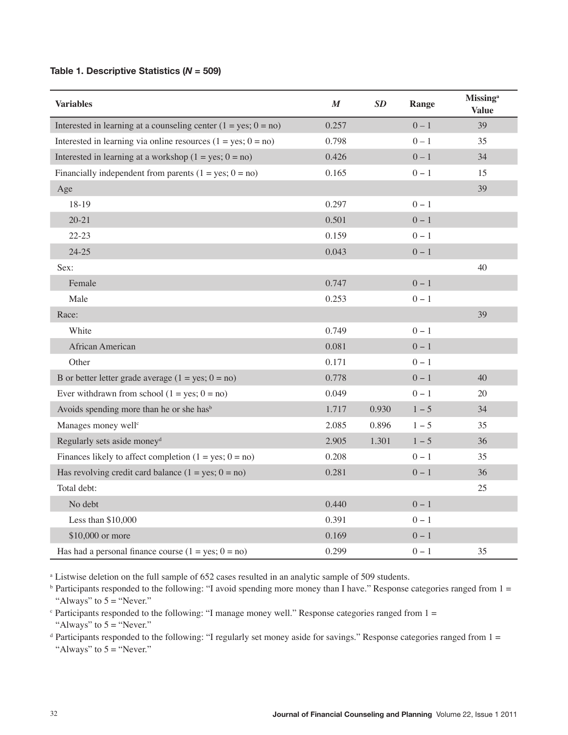# **Table 1. Descriptive Statistics (***N* **= 509)**

| <b>Variables</b>                                                  | $\boldsymbol{M}$ | SD    | Range   | <b>Missing</b> <sup>a</sup><br><b>Value</b> |
|-------------------------------------------------------------------|------------------|-------|---------|---------------------------------------------|
| Interested in learning at a counseling center $(1 = yes; 0 = no)$ | 0.257            |       | $0 - 1$ | 39                                          |
| Interested in learning via online resources $(1 = yes; 0 = no)$   | 0.798            |       | $0 - 1$ | 35                                          |
| Interested in learning at a workshop $(1 = yes; 0 = no)$          | 0.426            |       | $0 - 1$ | 34                                          |
| Financially independent from parents $(1 = yes; 0 = no)$          | 0.165            |       | $0 - 1$ | 15                                          |
| Age                                                               |                  |       |         | 39                                          |
| 18-19                                                             | 0.297            |       | $0 - 1$ |                                             |
| $20 - 21$                                                         | 0.501            |       | $0 - 1$ |                                             |
| $22 - 23$                                                         | 0.159            |       | $0 - 1$ |                                             |
| $24 - 25$                                                         | 0.043            |       | $0 - 1$ |                                             |
| Sex:                                                              |                  |       |         | 40                                          |
| Female                                                            | 0.747            |       | $0 - 1$ |                                             |
| Male                                                              | 0.253            |       | $0 - 1$ |                                             |
| Race:                                                             |                  |       |         | 39                                          |
| White                                                             | 0.749            |       | $0 - 1$ |                                             |
| African American                                                  | 0.081            |       | $0 - 1$ |                                             |
| Other                                                             | 0.171            |       | $0 - 1$ |                                             |
| B or better letter grade average $(1 = yes; 0 = no)$              | 0.778            |       | $0 - 1$ | 40                                          |
| Ever withdrawn from school $(1 = yes; 0 = no)$                    | 0.049            |       | $0 - 1$ | 20                                          |
| Avoids spending more than he or she has <sup>b</sup>              | 1.717            | 0.930 | $1 - 5$ | 34                                          |
| Manages money well <sup>c</sup>                                   | 2.085            | 0.896 | $1 - 5$ | 35                                          |
| Regularly sets aside money <sup>d</sup>                           | 2.905            | 1.301 | $1 - 5$ | 36                                          |
| Finances likely to affect completion $(1 = yes; 0 = no)$          | 0.208            |       | $0 - 1$ | 35                                          |
| Has revolving credit card balance $(1 = yes; 0 = no)$             | 0.281            |       | $0 - 1$ | 36                                          |
| Total debt:                                                       |                  |       |         | 25                                          |
| No debt                                                           | 0.440            |       | $0 - 1$ |                                             |
| Less than \$10,000                                                | 0.391            |       | $0 - 1$ |                                             |
| \$10,000 or more                                                  | 0.169            |       | $0 - 1$ |                                             |
| Has had a personal finance course $(1 = yes; 0 = no)$             | 0.299            |       | $0 - 1$ | 35                                          |

<sup>a</sup> Listwise deletion on the full sample of 652 cases resulted in an analytic sample of 509 students.

 $<sup>b</sup>$  Participants responded to the following: "I avoid spending more money than I have." Response categories ranged from  $1 =$ </sup> "Always" to  $5 =$  "Never."

 $\degree$  Participants responded to the following: "I manage money well." Response categories ranged from 1 = "Always" to  $5 =$  "Never."

 $d$  Participants responded to the following: "I regularly set money aside for savings." Response categories ranged from  $1 =$ "Always" to  $5 =$  "Never."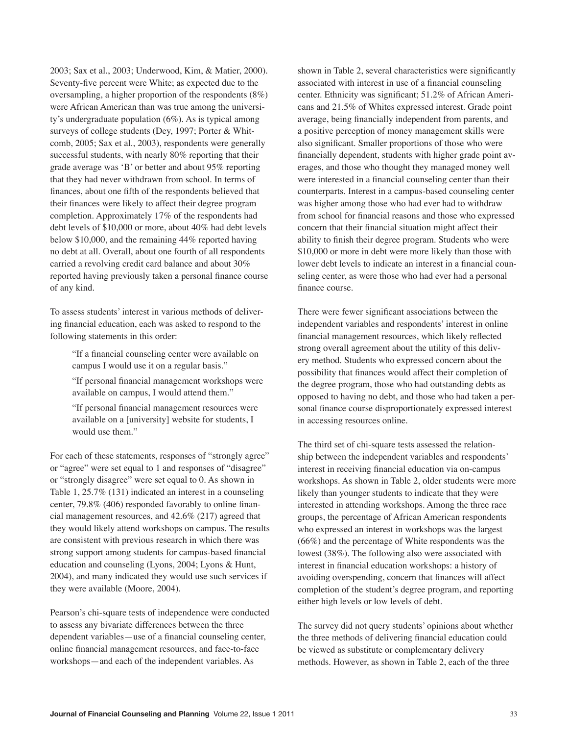2003; Sax et al., 2003; Underwood, Kim, & Matier, 2000). Seventy-five percent were White; as expected due to the oversampling, a higher proportion of the respondents (8%) were African American than was true among the university's undergraduate population (6%). As is typical among surveys of college students (Dey, 1997; Porter & Whitcomb, 2005; Sax et al., 2003), respondents were generally successful students, with nearly 80% reporting that their grade average was 'B' or better and about 95% reporting that they had never withdrawn from school. In terms of finances, about one fifth of the respondents believed that their finances were likely to affect their degree program completion. Approximately 17% of the respondents had debt levels of \$10,000 or more, about 40% had debt levels below \$10,000, and the remaining 44% reported having no debt at all. Overall, about one fourth of all respondents carried a revolving credit card balance and about 30% reported having previously taken a personal finance course of any kind.

To assess students' interest in various methods of delivering financial education, each was asked to respond to the following statements in this order:

> "If a financial counseling center were available on campus I would use it on a regular basis."

"If personal financial management workshops were available on campus, I would attend them."

"If personal financial management resources were available on a [university] website for students, I would use them."

For each of these statements, responses of "strongly agree" or "agree" were set equal to 1 and responses of "disagree" or "strongly disagree" were set equal to 0. As shown in Table 1, 25.7% (131) indicated an interest in a counseling center, 79.8% (406) responded favorably to online financial management resources, and 42.6% (217) agreed that they would likely attend workshops on campus. The results are consistent with previous research in which there was strong support among students for campus-based financial education and counseling (Lyons, 2004; Lyons & Hunt, 2004), and many indicated they would use such services if they were available (Moore, 2004).

Pearson's chi-square tests of independence were conducted to assess any bivariate differences between the three dependent variables—use of a financial counseling center, online financial management resources, and face-to-face workshops—and each of the independent variables. As

shown in Table 2, several characteristics were significantly associated with interest in use of a financial counseling center. Ethnicity was significant; 51.2% of African Americans and 21.5% of Whites expressed interest. Grade point average, being financially independent from parents, and a positive perception of money management skills were also significant. Smaller proportions of those who were financially dependent, students with higher grade point averages, and those who thought they managed money well were interested in a financial counseling center than their counterparts. Interest in a campus-based counseling center was higher among those who had ever had to withdraw from school for financial reasons and those who expressed concern that their financial situation might affect their ability to finish their degree program. Students who were \$10,000 or more in debt were more likely than those with lower debt levels to indicate an interest in a financial counseling center, as were those who had ever had a personal finance course.

There were fewer significant associations between the independent variables and respondents' interest in online financial management resources, which likely reflected strong overall agreement about the utility of this delivery method. Students who expressed concern about the possibility that finances would affect their completion of the degree program, those who had outstanding debts as opposed to having no debt, and those who had taken a personal finance course disproportionately expressed interest in accessing resources online.

The third set of chi-square tests assessed the relationship between the independent variables and respondents' interest in receiving financial education via on-campus workshops. As shown in Table 2, older students were more likely than younger students to indicate that they were interested in attending workshops. Among the three race groups, the percentage of African American respondents who expressed an interest in workshops was the largest (66%) and the percentage of White respondents was the lowest (38%). The following also were associated with interest in financial education workshops: a history of avoiding overspending, concern that finances will affect completion of the student's degree program, and reporting either high levels or low levels of debt.

The survey did not query students' opinions about whether the three methods of delivering financial education could be viewed as substitute or complementary delivery methods. However, as shown in Table 2, each of the three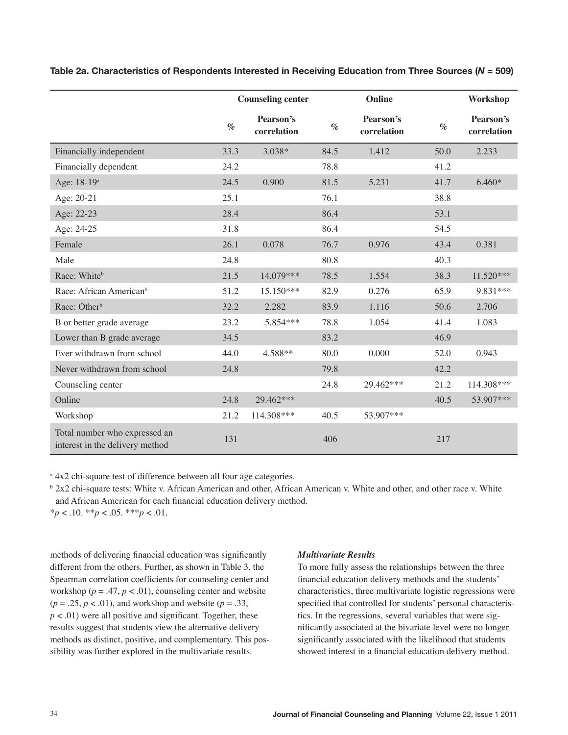|                                                                  | <b>Counseling center</b> |                          |      | Online                   | Workshop |                          |
|------------------------------------------------------------------|--------------------------|--------------------------|------|--------------------------|----------|--------------------------|
|                                                                  | $\%$                     | Pearson's<br>correlation | $\%$ | Pearson's<br>correlation | $\%$     | Pearson's<br>correlation |
| Financially independent                                          | 33.3                     | 3.038*                   | 84.5 | 1.412                    | 50.0     | 2.233                    |
| Financially dependent                                            | 24.2                     |                          | 78.8 |                          | 41.2     |                          |
| Age: 18-19 <sup>a</sup>                                          | 24.5                     | 0.900                    | 81.5 | 5.231                    | 41.7     | $6.460*$                 |
| Age: 20-21                                                       | 25.1                     |                          | 76.1 |                          | 38.8     |                          |
| Age: 22-23                                                       | 28.4                     |                          | 86.4 |                          | 53.1     |                          |
| Age: 24-25                                                       | 31.8                     |                          | 86.4 |                          | 54.5     |                          |
| Female                                                           | 26.1                     | 0.078                    | 76.7 | 0.976                    | 43.4     | 0.381                    |
| Male                                                             | 24.8                     |                          | 80.8 |                          | 40.3     |                          |
| Race: Whiteb                                                     | 21.5                     | 14.079***                | 78.5 | 1.554                    | 38.3     | 11.520***                |
| Race: African American <sup>b</sup>                              | 51.2                     | 15.150***                | 82.9 | 0.276                    | 65.9     | 9.831 ***                |
| Race: Other <sup>b</sup>                                         | 32.2                     | 2.282                    | 83.9 | 1.116                    | 50.6     | 2.706                    |
| B or better grade average                                        | 23.2                     | 5.854***                 | 78.8 | 1.054                    | 41.4     | 1.083                    |
| Lower than B grade average                                       | 34.5                     |                          | 83.2 |                          | 46.9     |                          |
| Ever withdrawn from school                                       | 44.0                     | 4.588**                  | 80.0 | 0.000                    | 52.0     | 0.943                    |
| Never withdrawn from school                                      | 24.8                     |                          | 79.8 |                          | 42.2     |                          |
| Counseling center                                                |                          |                          | 24.8 | 29.462***                | 21.2     | 114.308***               |
| Online                                                           | 24.8                     | 29.462***                |      |                          | 40.5     | 53.907***                |
| Workshop                                                         | 21.2                     | 114.308***               | 40.5 | 53.907***                |          |                          |
| Total number who expressed an<br>interest in the delivery method | 131                      |                          | 406  |                          | 217      |                          |

**Table 2a. Characteristics of Respondents Interested in Receiving Education from Three Sources (***N* **= 509)**

<sup>a</sup> 4x2 chi-square test of difference between all four age categories.

 $\frac{b}{2x^2}$  chi-square tests: White v. African American and other, African American v. White and other, and other race v. White and African American for each financial education delivery method. \**p* < .10. \*\**p* < .05. \*\*\**p* < .01.

methods of delivering financial education was significantly different from the others. Further, as shown in Table 3, the Spearman correlation coefficients for counseling center and workshop ( $p = .47$ ,  $p < .01$ ), counseling center and website  $(p = .25, p < .01)$ , and workshop and website  $(p = .33, p = .01)$  $p < .01$ ) were all positive and significant. Together, these results suggest that students view the alternative delivery methods as distinct, positive, and complementary. This possibility was further explored in the multivariate results.

# *Multivariate Results*

To more fully assess the relationships between the three financial education delivery methods and the students' characteristics, three multivariate logistic regressions were specified that controlled for students' personal characteristics. In the regressions, several variables that were significantly associated at the bivariate level were no longer significantly associated with the likelihood that students showed interest in a financial education delivery method.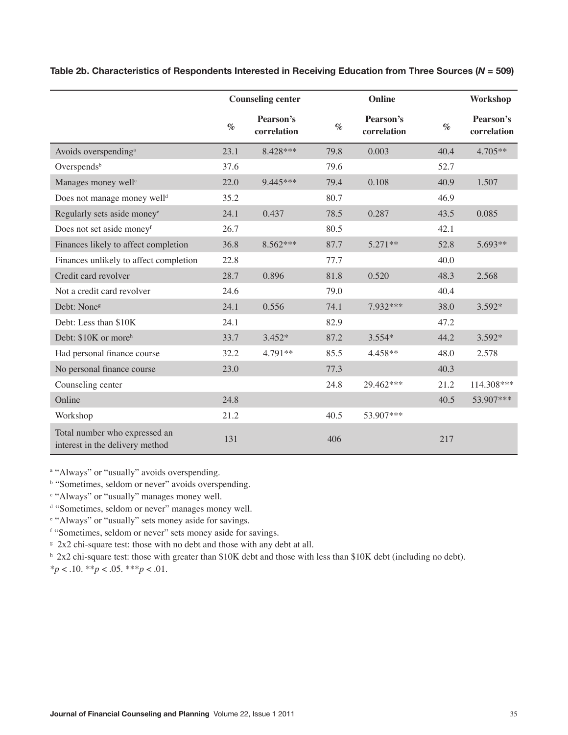|                                                                  | <b>Counseling center</b> |                          | Online |                          |      | Workshop                 |
|------------------------------------------------------------------|--------------------------|--------------------------|--------|--------------------------|------|--------------------------|
|                                                                  | $\%$                     | Pearson's<br>correlation | $\%$   | Pearson's<br>correlation | $\%$ | Pearson's<br>correlation |
| Avoids overspending <sup>a</sup>                                 | 23.1                     | 8.428***                 | 79.8   | 0.003                    | 40.4 | $4.705**$                |
| Overspends <sup>b</sup>                                          | 37.6                     |                          | 79.6   |                          | 52.7 |                          |
| Manages money well <sup>c</sup>                                  | 22.0                     | 9.445***                 | 79.4   | 0.108                    | 40.9 | 1.507                    |
| Does not manage money well <sup>d</sup>                          | 35.2                     |                          | 80.7   |                          | 46.9 |                          |
| Regularly sets aside money <sup>e</sup>                          | 24.1                     | 0.437                    | 78.5   | 0.287                    | 43.5 | 0.085                    |
| Does not set aside moneyf                                        | 26.7                     |                          | 80.5   |                          | 42.1 |                          |
| Finances likely to affect completion                             | 36.8                     | 8.562***                 | 87.7   | $5.271**$                | 52.8 | 5.693**                  |
| Finances unlikely to affect completion                           | 22.8                     |                          | 77.7   |                          | 40.0 |                          |
| Credit card revolver                                             | 28.7                     | 0.896                    | 81.8   | 0.520                    | 48.3 | 2.568                    |
| Not a credit card revolver                                       | 24.6                     |                          | 79.0   |                          | 40.4 |                          |
| Debt: None <sup>g</sup>                                          | 24.1                     | 0.556                    | 74.1   | 7.932***                 | 38.0 | 3.592*                   |
| Debt: Less than \$10K                                            | 24.1                     |                          | 82.9   |                          | 47.2 |                          |
| Debt: \$10K or more <sup>h</sup>                                 | 33.7                     | $3.452*$                 | 87.2   | $3.554*$                 | 44.2 | 3.592*                   |
| Had personal finance course                                      | 32.2                     | 4.791**                  | 85.5   | 4.458**                  | 48.0 | 2.578                    |
| No personal finance course                                       | 23.0                     |                          | 77.3   |                          | 40.3 |                          |
| Counseling center                                                |                          |                          | 24.8   | 29.462***                | 21.2 | 114.308***               |
| Online                                                           | 24.8                     |                          |        |                          | 40.5 | 53.907***                |
| Workshop                                                         | 21.2                     |                          | 40.5   | 53.907***                |      |                          |
| Total number who expressed an<br>interest in the delivery method | 131                      |                          | 406    |                          | 217  |                          |

**Table 2b. Characteristics of Respondents Interested in Receiving Education from Three Sources (***N* **= 509)**

<sup>a</sup> "Always" or "usually" avoids overspending.

**b** "Sometimes, seldom or never" avoids overspending.

<sup>c</sup> "Always" or "usually" manages money well.

<sup>d</sup> "Sometimes, seldom or never" manages money well.

e "Always" or "usually" sets money aside for savings.

f "Sometimes, seldom or never" sets money aside for savings.

<sup>g</sup> 2x2 chi-square test: those with no debt and those with any debt at all.

 $h$  2x2 chi-square test: those with greater than \$10K debt and those with less than \$10K debt (including no debt). \**p* < .10. \*\**p* < .05. \*\*\**p* < .01.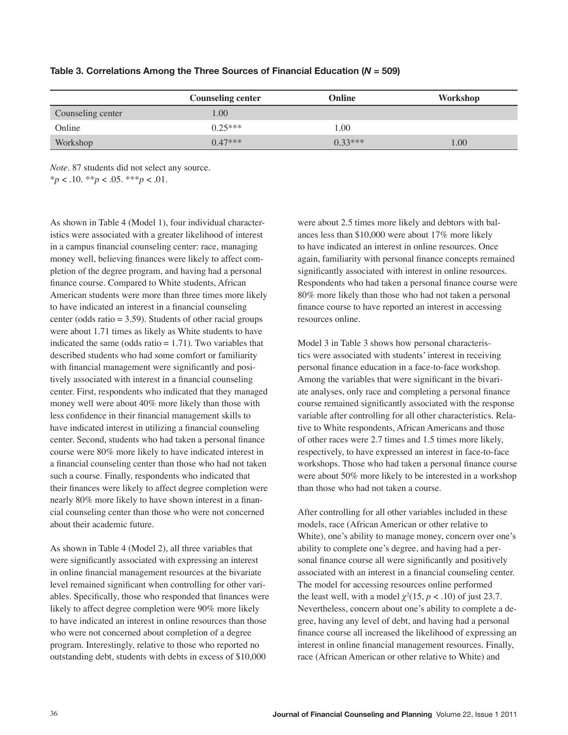|                   | <b>Counseling center</b> | Online    | Workshop |
|-------------------|--------------------------|-----------|----------|
| Counseling center | .00.                     |           |          |
| Online            | $0.25***$                | 1.00      |          |
| Workshop          | $0.47***$                | $0.33***$ | 00.      |

#### **Table 3. Correlations Among the Three Sources of Financial Education (***N* **= 509)**

*Note.* 87 students did not select any source. \**p* < .10. \*\**p* < .05. \*\*\**p* < .01.

As shown in Table 4 (Model 1), four individual characteristics were associated with a greater likelihood of interest in a campus financial counseling center: race, managing money well, believing finances were likely to affect completion of the degree program, and having had a personal finance course. Compared to White students, African American students were more than three times more likely to have indicated an interest in a financial counseling center (odds ratio  $= 3.59$ ). Students of other racial groups were about 1.71 times as likely as White students to have indicated the same (odds ratio  $= 1.71$ ). Two variables that described students who had some comfort or familiarity with financial management were significantly and positively associated with interest in a financial counseling center. First, respondents who indicated that they managed money well were about 40% more likely than those with less confidence in their financial management skills to have indicated interest in utilizing a financial counseling center. Second, students who had taken a personal finance course were 80% more likely to have indicated interest in a financial counseling center than those who had not taken such a course. Finally, respondents who indicated that their finances were likely to affect degree completion were nearly 80% more likely to have shown interest in a financial counseling center than those who were not concerned about their academic future.

As shown in Table 4 (Model 2), all three variables that were significantly associated with expressing an interest in online financial management resources at the bivariate level remained significant when controlling for other variables. Specifically, those who responded that finances were likely to affect degree completion were 90% more likely to have indicated an interest in online resources than those who were not concerned about completion of a degree program. Interestingly, relative to those who reported no outstanding debt, students with debts in excess of \$10,000

were about 2.5 times more likely and debtors with balances less than \$10,000 were about 17% more likely to have indicated an interest in online resources. Once again, familiarity with personal finance concepts remained significantly associated with interest in online resources. Respondents who had taken a personal finance course were 80% more likely than those who had not taken a personal finance course to have reported an interest in accessing resources online.

Model 3 in Table 3 shows how personal characteristics were associated with students' interest in receiving personal finance education in a face-to-face workshop. Among the variables that were significant in the bivariate analyses, only race and completing a personal finance course remained significantly associated with the response variable after controlling for all other characteristics. Relative to White respondents, African Americans and those of other races were 2.7 times and 1.5 times more likely, respectively, to have expressed an interest in face-to-face workshops. Those who had taken a personal finance course were about 50% more likely to be interested in a workshop than those who had not taken a course.

After controlling for all other variables included in these models, race (African American or other relative to White), one's ability to manage money, concern over one's ability to complete one's degree, and having had a personal finance course all were significantly and positively associated with an interest in a financial counseling center. The model for accessing resources online performed the least well, with a model  $\chi^2(15, p < .10)$  of just 23.7. Nevertheless, concern about one's ability to complete a degree, having any level of debt, and having had a personal finance course all increased the likelihood of expressing an interest in online financial management resources. Finally, race (African American or other relative to White) and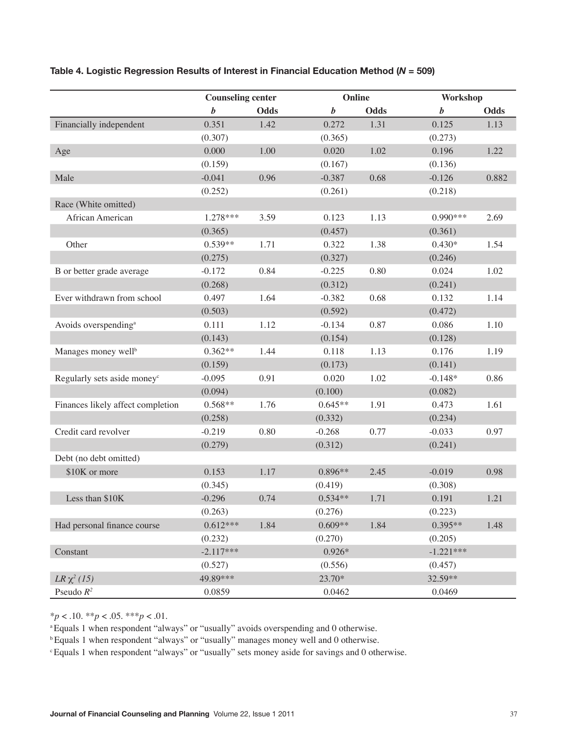|                                         | <b>Counseling center</b> |             | Online           |      | Workshop         |             |
|-----------------------------------------|--------------------------|-------------|------------------|------|------------------|-------------|
|                                         | b                        | <b>Odds</b> | $\boldsymbol{b}$ | Odds | $\boldsymbol{b}$ | <b>Odds</b> |
| Financially independent                 | 0.351                    | 1.42        | 0.272            | 1.31 | 0.125            | 1.13        |
|                                         | (0.307)                  |             | (0.365)          |      | (0.273)          |             |
| Age                                     | 0.000                    | 1.00        | 0.020            | 1.02 | 0.196            | 1.22        |
|                                         | (0.159)                  |             | (0.167)          |      | (0.136)          |             |
| Male                                    | $-0.041$                 | 0.96        | $-0.387$         | 0.68 | $-0.126$         | 0.882       |
|                                         | (0.252)                  |             | (0.261)          |      | (0.218)          |             |
| Race (White omitted)                    |                          |             |                  |      |                  |             |
| African American                        | $1.278***$               | 3.59        | 0.123            | 1.13 | $0.990***$       | 2.69        |
|                                         | (0.365)                  |             | (0.457)          |      | (0.361)          |             |
| Other                                   | $0.539**$                | 1.71        | 0.322            | 1.38 | $0.430*$         | 1.54        |
|                                         | (0.275)                  |             | (0.327)          |      | (0.246)          |             |
| B or better grade average               | $-0.172$                 | 0.84        | $-0.225$         | 0.80 | 0.024            | 1.02        |
|                                         | (0.268)                  |             | (0.312)          |      | (0.241)          |             |
| Ever withdrawn from school              | 0.497                    | 1.64        | $-0.382$         | 0.68 | 0.132            | 1.14        |
|                                         | (0.503)                  |             | (0.592)          |      | (0.472)          |             |
| Avoids overspending <sup>a</sup>        | 0.111                    | 1.12        | $-0.134$         | 0.87 | 0.086            | 1.10        |
|                                         | (0.143)                  |             | (0.154)          |      | (0.128)          |             |
| Manages money well <sup>b</sup>         | $0.362**$                | 1.44        | 0.118            | 1.13 | 0.176            | 1.19        |
|                                         | (0.159)                  |             | (0.173)          |      | (0.141)          |             |
| Regularly sets aside money <sup>c</sup> | $-0.095$                 | 0.91        | 0.020            | 1.02 | $-0.148*$        | 0.86        |
|                                         | (0.094)                  |             | (0.100)          |      | (0.082)          |             |
| Finances likely affect completion       | $0.568**$                | 1.76        | $0.645**$        | 1.91 | 0.473            | 1.61        |
|                                         | (0.258)                  |             | (0.332)          |      | (0.234)          |             |
| Credit card revolver                    | $-0.219$                 | 0.80        | $-0.268$         | 0.77 | $-0.033$         | 0.97        |
|                                         | (0.279)                  |             | (0.312)          |      | (0.241)          |             |
| Debt (no debt omitted)                  |                          |             |                  |      |                  |             |
| \$10K or more                           | 0.153                    | 1.17        | $0.896**$        | 2.45 | $-0.019$         | 0.98        |
|                                         | (0.345)                  |             | (0.419)          |      | (0.308)          |             |
| Less than \$10K                         | $-0.296$                 | 0.74        | $0.534**$        | 1.71 | 0.191            | 1.21        |
|                                         | (0.263)                  |             | (0.276)          |      | (0.223)          |             |
| Had personal finance course             | $0.612***$               | 1.84        | $0.609**$        | 1.84 | $0.395**$        | 1.48        |
|                                         | (0.232)                  |             | (0.270)          |      | (0.205)          |             |
| Constant                                | $-2.117***$              |             | $0.926*$         |      | $-1.221***$      |             |
|                                         | (0.527)                  |             | (0.556)          |      | (0.457)          |             |
| $LR \chi^2$ (15)                        | 49.89***                 |             | 23.70*           |      | 32.59**          |             |
| Pseudo $R^2$                            | 0.0859                   |             | 0.0462           |      | 0.0469           |             |

# **Table 4. Logistic Regression Results of Interest in Financial Education Method (***N* **= 509)**

 $**p* < .10.$   $**p* < .05.$   $**p* < .01.$ 

<sup>a</sup> Equals 1 when respondent "always" or "usually" avoids overspending and 0 otherwise.

<sup>b</sup>Equals 1 when respondent "always" or "usually" manages money well and 0 otherwise.

c Equals 1 when respondent "always" or "usually" sets money aside for savings and 0 otherwise.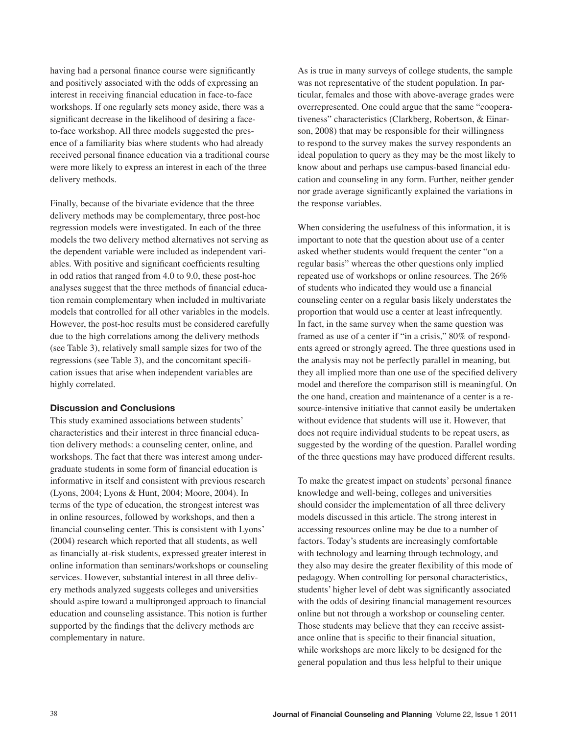having had a personal finance course were significantly and positively associated with the odds of expressing an interest in receiving financial education in face-to-face workshops. If one regularly sets money aside, there was a significant decrease in the likelihood of desiring a faceto-face workshop. All three models suggested the presence of a familiarity bias where students who had already received personal finance education via a traditional course were more likely to express an interest in each of the three delivery methods.

Finally, because of the bivariate evidence that the three delivery methods may be complementary, three post-hoc regression models were investigated. In each of the three models the two delivery method alternatives not serving as the dependent variable were included as independent variables. With positive and significant coefficients resulting in odd ratios that ranged from 4.0 to 9.0, these post-hoc analyses suggest that the three methods of financial education remain complementary when included in multivariate models that controlled for all other variables in the models. However, the post-hoc results must be considered carefully due to the high correlations among the delivery methods (see Table 3), relatively small sample sizes for two of the regressions (see Table 3), and the concomitant specification issues that arise when independent variables are highly correlated.

#### **Discussion and Conclusions**

This study examined associations between students' characteristics and their interest in three financial education delivery methods: a counseling center, online, and workshops. The fact that there was interest among undergraduate students in some form of financial education is informative in itself and consistent with previous research (Lyons, 2004; Lyons & Hunt, 2004; Moore, 2004). In terms of the type of education, the strongest interest was in online resources, followed by workshops, and then a financial counseling center. This is consistent with Lyons' (2004) research which reported that all students, as well as financially at-risk students, expressed greater interest in online information than seminars/workshops or counseling services. However, substantial interest in all three delivery methods analyzed suggests colleges and universities should aspire toward a multipronged approach to financial education and counseling assistance. This notion is further supported by the findings that the delivery methods are complementary in nature.

As is true in many surveys of college students, the sample was not representative of the student population. In particular, females and those with above-average grades were overrepresented. One could argue that the same "cooperativeness" characteristics (Clarkberg, Robertson, & Einarson, 2008) that may be responsible for their willingness to respond to the survey makes the survey respondents an ideal population to query as they may be the most likely to know about and perhaps use campus-based financial education and counseling in any form. Further, neither gender nor grade average significantly explained the variations in the response variables.

When considering the usefulness of this information, it is important to note that the question about use of a center asked whether students would frequent the center "on a regular basis" whereas the other questions only implied repeated use of workshops or online resources. The 26% of students who indicated they would use a financial counseling center on a regular basis likely understates the proportion that would use a center at least infrequently. In fact, in the same survey when the same question was framed as use of a center if "in a crisis," 80% of respondents agreed or strongly agreed. The three questions used in the analysis may not be perfectly parallel in meaning, but they all implied more than one use of the specified delivery model and therefore the comparison still is meaningful. On the one hand, creation and maintenance of a center is a resource-intensive initiative that cannot easily be undertaken without evidence that students will use it. However, that does not require individual students to be repeat users, as suggested by the wording of the question. Parallel wording of the three questions may have produced different results.

To make the greatest impact on students' personal finance knowledge and well-being, colleges and universities should consider the implementation of all three delivery models discussed in this article. The strong interest in accessing resources online may be due to a number of factors. Today's students are increasingly comfortable with technology and learning through technology, and they also may desire the greater flexibility of this mode of pedagogy. When controlling for personal characteristics, students' higher level of debt was significantly associated with the odds of desiring financial management resources online but not through a workshop or counseling center. Those students may believe that they can receive assistance online that is specific to their financial situation, while workshops are more likely to be designed for the general population and thus less helpful to their unique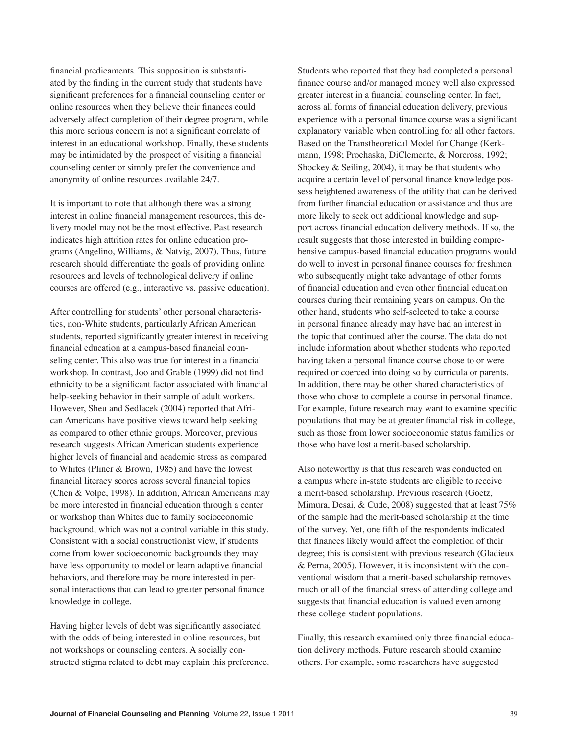financial predicaments. This supposition is substantiated by the finding in the current study that students have significant preferences for a financial counseling center or online resources when they believe their finances could adversely affect completion of their degree program, while this more serious concern is not a significant correlate of interest in an educational workshop. Finally, these students may be intimidated by the prospect of visiting a financial counseling center or simply prefer the convenience and anonymity of online resources available 24/7.

It is important to note that although there was a strong interest in online financial management resources, this delivery model may not be the most effective. Past research indicates high attrition rates for online education programs (Angelino, Williams, & Natvig, 2007). Thus, future research should differentiate the goals of providing online resources and levels of technological delivery if online courses are offered (e.g., interactive vs. passive education).

After controlling for students' other personal characteristics, non-White students, particularly African American students, reported significantly greater interest in receiving financial education at a campus-based financial counseling center. This also was true for interest in a financial workshop. In contrast, Joo and Grable (1999) did not find ethnicity to be a significant factor associated with financial help-seeking behavior in their sample of adult workers. However, Sheu and Sedlacek (2004) reported that African Americans have positive views toward help seeking as compared to other ethnic groups. Moreover, previous research suggests African American students experience higher levels of financial and academic stress as compared to Whites (Pliner & Brown, 1985) and have the lowest financial literacy scores across several financial topics (Chen & Volpe, 1998). In addition, African Americans may be more interested in financial education through a center or workshop than Whites due to family socioeconomic background, which was not a control variable in this study. Consistent with a social constructionist view, if students come from lower socioeconomic backgrounds they may have less opportunity to model or learn adaptive financial behaviors, and therefore may be more interested in personal interactions that can lead to greater personal finance knowledge in college.

Having higher levels of debt was significantly associated with the odds of being interested in online resources, but not workshops or counseling centers. A socially constructed stigma related to debt may explain this preference.

Students who reported that they had completed a personal finance course and/or managed money well also expressed greater interest in a financial counseling center. In fact, across all forms of financial education delivery, previous experience with a personal finance course was a significant explanatory variable when controlling for all other factors. Based on the Transtheoretical Model for Change (Kerkmann, 1998; Prochaska, DiClemente, & Norcross, 1992; Shockey & Seiling, 2004), it may be that students who acquire a certain level of personal finance knowledge possess heightened awareness of the utility that can be derived from further financial education or assistance and thus are more likely to seek out additional knowledge and support across financial education delivery methods. If so, the result suggests that those interested in building comprehensive campus-based financial education programs would do well to invest in personal finance courses for freshmen who subsequently might take advantage of other forms of financial education and even other financial education courses during their remaining years on campus. On the other hand, students who self-selected to take a course in personal finance already may have had an interest in the topic that continued after the course. The data do not include information about whether students who reported having taken a personal finance course chose to or were required or coerced into doing so by curricula or parents. In addition, there may be other shared characteristics of those who chose to complete a course in personal finance. For example, future research may want to examine specific populations that may be at greater financial risk in college, such as those from lower socioeconomic status families or those who have lost a merit-based scholarship.

Also noteworthy is that this research was conducted on a campus where in-state students are eligible to receive a merit-based scholarship. Previous research (Goetz, Mimura, Desai, & Cude, 2008) suggested that at least 75% of the sample had the merit-based scholarship at the time of the survey. Yet, one fifth of the respondents indicated that finances likely would affect the completion of their degree; this is consistent with previous research (Gladieux & Perna, 2005). However, it is inconsistent with the conventional wisdom that a merit-based scholarship removes much or all of the financial stress of attending college and suggests that financial education is valued even among these college student populations.

Finally, this research examined only three financial education delivery methods. Future research should examine others. For example, some researchers have suggested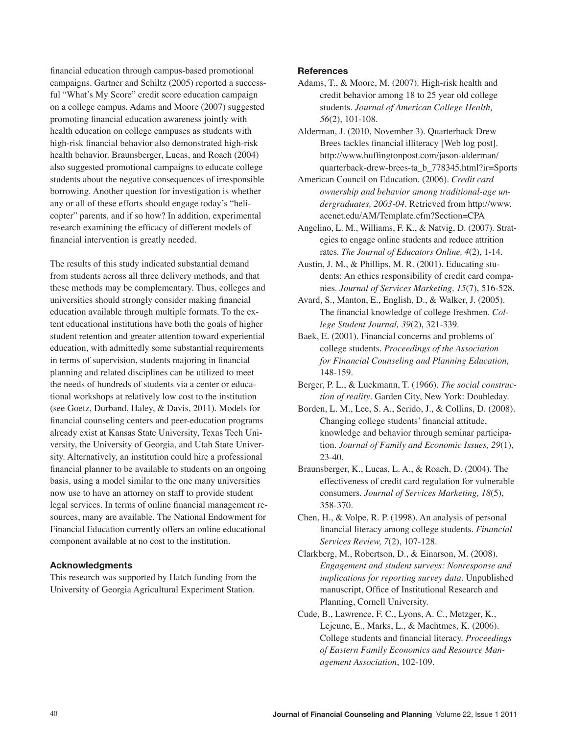financial education through campus-based promotional campaigns. Gartner and Schiltz (2005) reported a successful "What's My Score" credit score education campaign on a college campus. Adams and Moore (2007) suggested promoting financial education awareness jointly with health education on college campuses as students with high-risk financial behavior also demonstrated high-risk health behavior. Braunsberger, Lucas, and Roach (2004) also suggested promotional campaigns to educate college students about the negative consequences of irresponsible borrowing. Another question for investigation is whether any or all of these efforts should engage today's "helicopter" parents, and if so how? In addition, experimental research examining the efficacy of different models of financial intervention is greatly needed.

The results of this study indicated substantial demand from students across all three delivery methods, and that these methods may be complementary. Thus, colleges and universities should strongly consider making financial education available through multiple formats. To the extent educational institutions have both the goals of higher student retention and greater attention toward experiential education, with admittedly some substantial requirements in terms of supervision, students majoring in financial planning and related disciplines can be utilized to meet the needs of hundreds of students via a center or educational workshops at relatively low cost to the institution (see Goetz, Durband, Haley, & Davis, 2011). Models for financial counseling centers and peer-education programs already exist at Kansas State University, Texas Tech University, the University of Georgia, and Utah State University. Alternatively, an institution could hire a professional financial planner to be available to students on an ongoing basis, using a model similar to the one many universities now use to have an attorney on staff to provide student legal services. In terms of online financial management resources, many are available. The National Endowment for Financial Education currently offers an online educational component available at no cost to the institution.

# **Acknowledgments**

This research was supported by Hatch funding from the University of Georgia Agricultural Experiment Station.

#### **References**

- Adams, T., & Moore, M. (2007). High-risk health and credit behavior among 18 to 25 year old college students. *Journal of American College Health, 56*(2), 101-108.
- Alderman, J. (2010, November 3). Quarterback Drew Brees tackles financial illiteracy [Web log post]. http://www.huffingtonpost.com/jason-alderman/ quarterback-drew-brees-ta\_b\_778345.html?ir=Sports
- American Council on Education. (2006). *Credit card ownership and behavior among traditional-age undergraduates, 2003-04.* Retrieved from http://www. acenet.edu/AM/Template.cfm?Section=CPA
- Angelino, L. M., Williams, F. K., & Natvig, D. (2007). Strategies to engage online students and reduce attrition rates. *The Journal of Educators Online, 4*(2), 1-14.
- Austin, J. M., & Phillips, M. R. (2001). Educating students: An ethics responsibility of credit card companies. *Journal of Services Marketing, 15*(7), 516-528.
- Avard, S., Manton, E., English, D., & Walker, J. (2005). The financial knowledge of college freshmen. *College Student Journal, 39*(2), 321-339.
- Baek, E. (2001). Financial concerns and problems of college students. *Proceedings of the Association for Financial Counseling and Planning Education,* 148-159.
- Berger, P. L., & Luckmann, T. (1966). *The social construction of reality*. Garden City, New York: Doubleday.
- Borden, L. M., Lee, S. A., Serido, J., & Collins, D. (2008). Changing college students' financial attitude, knowledge and behavior through seminar participation. *Journal of Family and Economic Issues, 29*(1), 23-40.
- Braunsberger, K., Lucas, L. A., & Roach, D. (2004). The effectiveness of credit card regulation for vulnerable consumers. *Journal of Services Marketing, 18*(5), 358-370.
- Chen, H., & Volpe, R. P. (1998). An analysis of personal financial literacy among college students. *Financial Services Review, 7*(2), 107-128.
- Clarkberg, M., Robertson, D., & Einarson, M. (2008). *Engagement and student surveys: Nonresponse and implications for reporting survey data*. Unpublished manuscript, Office of Institutional Research and Planning, Cornell University.
- Cude, B., Lawrence, F. C., Lyons, A. C., Metzger, K., Lejeune, E., Marks, L., & Machtmes, K. (2006). College students and financial literacy. *Proceedings of Eastern Family Economics and Resource Management Association*, 102-109.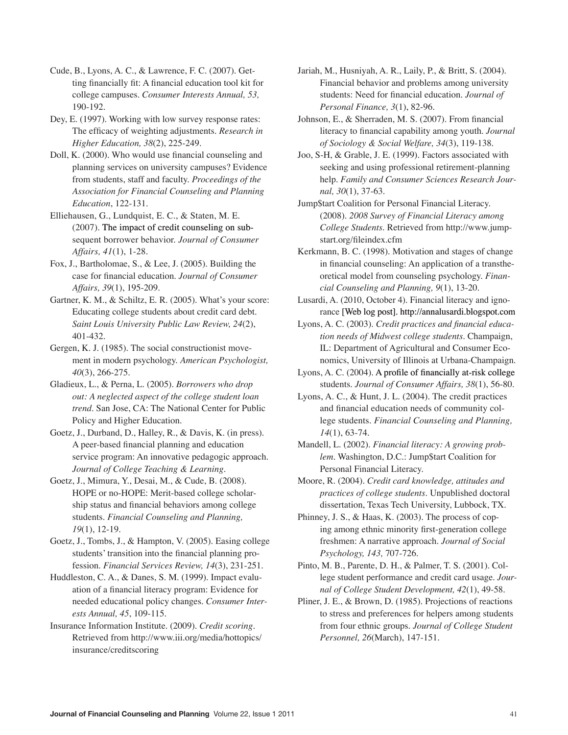Cude, B., Lyons, A. C., & Lawrence, F. C. (2007). Getting financially fit: A financial education tool kit for college campuses. *Consumer Interests Annual, 53,* 190-192.

Dey, E. (1997). Working with low survey response rates: The efficacy of weighting adjustments. *Research in Higher Education, 38*(2), 225-249.

Doll, K. (2000). Who would use financial counseling and planning services on university campuses? Evidence from students, staff and faculty. *Proceedings of the Association for Financial Counseling and Planning Education*, 122-131.

Elliehausen, G., Lundquist, E. C., & Staten, M. E. (2007). The impact of credit counseling on subsequent borrower behavior. *Journal of Consumer Affairs, 41*(1), 1-28.

Fox, J., Bartholomae, S., & Lee, J. (2005). Building the case for financial education. *Journal of Consumer Affairs, 39*(1), 195-209.

Gartner, K. M., & Schiltz, E. R. (2005). What's your score: Educating college students about credit card debt. *Saint Louis University Public Law Review, 24*(2), 401-432.

Gergen, K. J. (1985). The social constructionist movement in modern psychology. *American Psychologist, 40*(3), 266-275.

Gladieux, L., & Perna, L. (2005). *Borrowers who drop out: A neglected aspect of the college student loan trend*. San Jose, CA: The National Center for Public Policy and Higher Education.

Goetz, J., Durband, D., Halley, R., & Davis, K. (in press). A peer-based financial planning and education service program: An innovative pedagogic approach. *Journal of College Teaching & Learning*.

Goetz, J., Mimura, Y., Desai, M., & Cude, B. (2008). HOPE or no-HOPE: Merit-based college scholarship status and financial behaviors among college students. *Financial Counseling and Planning, 19*(1), 12-19.

Goetz, J., Tombs, J., & Hampton, V. (2005). Easing college students' transition into the financial planning profession. *Financial Services Review, 14*(3), 231-251.

Huddleston, C. A., & Danes, S. M. (1999). Impact evaluation of a financial literacy program: Evidence for needed educational policy changes. *Consumer Interests Annual, 45*, 109-115.

Insurance Information Institute. (2009). *Credit scoring.* Retrieved from http://www.iii.org/media/hottopics/ insurance/creditscoring

Jariah, M., Husniyah, A. R., Laily, P., & Britt, S. (2004). Financial behavior and problems among university students: Need for financial education. *Journal of Personal Finance, 3*(1), 82-96.

Johnson, E., & Sherraden, M. S. (2007). From financial literacy to financial capability among youth. *Journal of Sociology & Social Welfare, 34*(3), 119-138.

Joo, S-H, & Grable, J. E. (1999). Factors associated with seeking and using professional retirement-planning help. *Family and Consumer Sciences Research Journal, 30*(1), 37-63.

Jump\$tart Coalition for Personal Financial Literacy. (2008). *2008 Survey of Financial Literacy among College Students.* Retrieved from http://www.jumpstart.org/fileindex.cfm

Kerkmann, B. C. (1998). Motivation and stages of change in financial counseling: An application of a transtheoretical model from counseling psychology. *Financial Counseling and Planning, 9*(1), 13-20.

Lusardi, A. (2010, October 4). Financial literacy and ignorance [Web log post]. http://annalusardi.blogspot.com

Lyons, A. C. (2003). *Credit practices and financial education needs of Midwest college students.* Champaign, IL: Department of Agricultural and Consumer Economics, University of Illinois at Urbana-Champaign.

Lyons, A. C. (2004). A profile of financially at-risk college students. *Journal of Consumer Affairs, 38*(1), 56-80.

Lyons, A. C., & Hunt, J. L. (2004). The credit practices and financial education needs of community college students. *Financial Counseling and Planning, 14*(1), 63-74.

Mandell, L. (2002). *Financial literacy: A growing problem.* Washington, D.C.: Jump\$tart Coalition for Personal Financial Literacy.

Moore, R. (2004). *Credit card knowledge, attitudes and practices of college students.* Unpublished doctoral dissertation, Texas Tech University, Lubbock, TX.

Phinney, J. S., & Haas, K. (2003). The process of coping among ethnic minority first-generation college freshmen: A narrative approach. *Journal of Social Psychology, 143,* 707-726.

Pinto, M. B., Parente, D. H., & Palmer, T. S. (2001). College student performance and credit card usage. *Journal of College Student Development, 42*(1), 49-58.

Pliner, J. E., & Brown, D. (1985). Projections of reactions to stress and preferences for helpers among students from four ethnic groups. *Journal of College Student Personnel, 26*(March), 147-151.